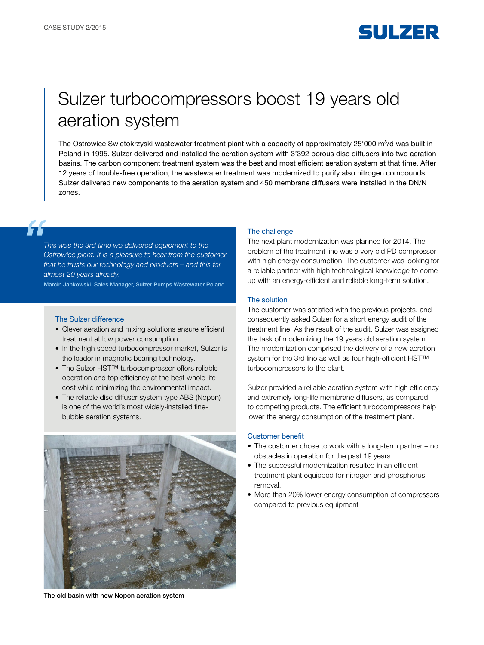

# Sulzer turbocompressors boost 19 years old aeration system

The Ostrowiec Swietokrzyski wastewater treatment plant with a capacity of approximately 25'000 m $3/d$  was built in Poland in 1995. Sulzer delivered and installed the aeration system with 3'392 porous disc diffusers into two aeration basins. The carbon component treatment system was the best and most efficient aeration system at that time. After 12 years of trouble-free operation, the wastewater treatment was modernized to purify also nitrogen compounds. Sulzer delivered new components to the aeration system and 450 membrane diffusers were installed in the DN/N zones.

*This was the 3rd time we delivered equipment to the Ostrowiec plant. It is a pleasure to hear from the customer that he trusts our technology and products – and this for almost 20 years already.*

Marcin Jankowski, Sales Manager, Sulzer Pumps Wastewater Poland

#### The Sulzer difference

F F

- Clever aeration and mixing solutions ensure efficient treatment at low power consumption.
- In the high speed turbocompressor market, Sulzer is the leader in magnetic bearing technology.
- The Sulzer HST™ turbocompressor offers reliable operation and top efficiency at the best whole life cost while minimizing the environmental impact.
- The reliable disc diffuser system type ABS (Nopon) is one of the world's most widely-installed finebubble aeration systems.



The old basin with new Nopon aeration system

#### The challenge

The next plant modernization was planned for 2014. The problem of the treatment line was a very old PD compressor with high energy consumption. The customer was looking for a reliable partner with high technological knowledge to come up with an energy-efficient and reliable long-term solution.

### The solution

The customer was satisfied with the previous projects, and consequently asked Sulzer for a short energy audit of the treatment line. As the result of the audit, Sulzer was assigned the task of modernizing the 19 years old aeration system. The modernization comprised the delivery of a new aeration system for the 3rd line as well as four high-efficient HST™ turbocompressors to the plant.

Sulzer provided a reliable aeration system with high efficiency and extremely long-life membrane diffusers, as compared to competing products. The efficient turbocompressors help lower the energy consumption of the treatment plant.

#### Customer benefit

- The customer chose to work with a long-term partner no obstacles in operation for the past 19 years.
- The successful modernization resulted in an efficient treatment plant equipped for nitrogen and phosphorus removal.
- More than 20% lower energy consumption of compressors compared to previous equipment